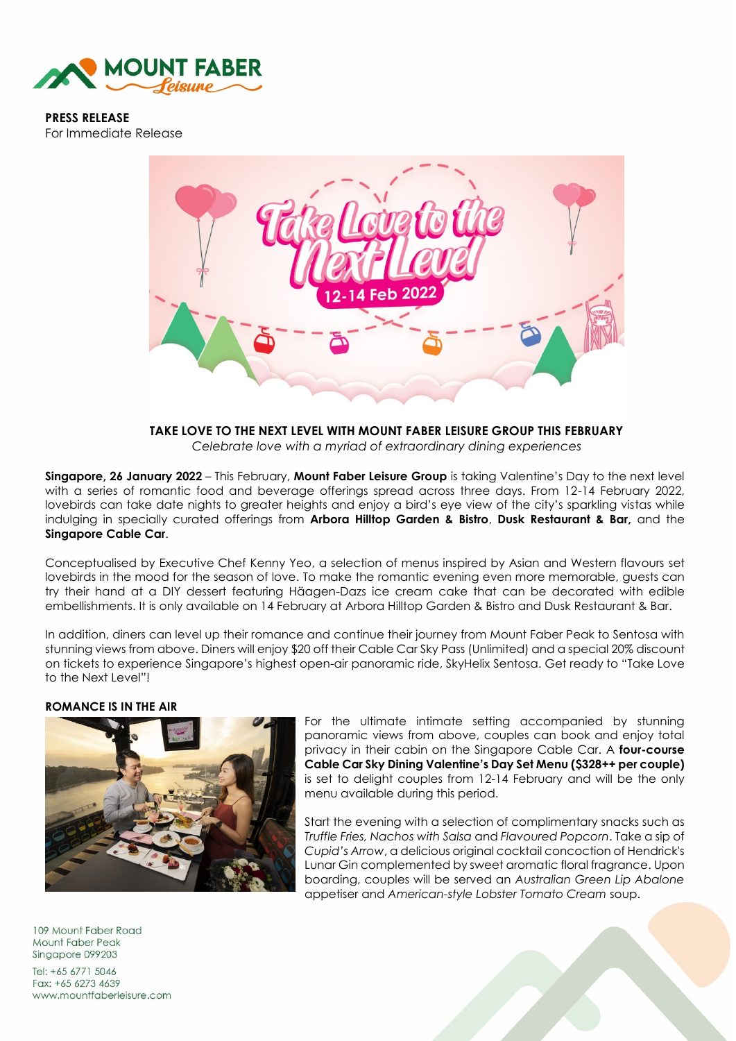

**PRESS RELEASE**  For Immediate Release



**TAKE LOVE TO THE NEXT LEVEL WITH MOUNT FABER LEISURE GROUP THIS FEBRUARY** *Celebrate love with a myriad of extraordinary dining experiences*

**Singapore, 26 January 2022** – This February, **Mount Faber Leisure Group** is taking Valentine's Day to the next level with a series of romantic food and beverage offerings spread across three days. From 12-14 February 2022, lovebirds can take date nights to greater heights and enjoy a bird's eye view of the city's sparkling vistas while indulging in specially curated offerings from **Arbora Hilltop Garden & Bistro**, **Dusk Restaurant & Bar,** and the **Singapore Cable Car**.

Conceptualised by Executive Chef Kenny Yeo, a selection of menus inspired by Asian and Western flavours set lovebirds in the mood for the season of love. To make the romantic evening even more memorable, guests can try their hand at a DIY dessert featuring Häagen-Dazs ice cream cake that can be decorated with edible embellishments. It is only available on 14 February at Arbora Hilltop Garden & Bistro and Dusk Restaurant & Bar.

In addition, diners can level up their romance and continue their journey from Mount Faber Peak to Sentosa with stunning views from above. Diners will enjoy \$20 off their Cable Car Sky Pass (Unlimited) and a special 20% discount on tickets to experience Singapore's highest open-air panoramic ride, SkyHelix Sentosa. Get ready to "Take Love to the Next Level"!

#### **ROMANCE IS IN THE AIR**



For the ultimate intimate setting accompanied by stunning panoramic views from above, couples can book and enjoy total privacy in their cabin on the Singapore Cable Car. A **four-course Cable Car Sky Dining Valentine's Day Set Menu (\$328++ per couple)** is set to delight couples from 12-14 February and will be the only menu available during this period.

Start the evening with a selection of complimentary snacks such as *Truffle Fries, Nachos with Salsa* and *Flavoured Popcorn*. Take a sip of *Cupid's Arrow*, a delicious original cocktail concoction of Hendrick's Lunar Gin complemented by sweet aromatic floral fragrance. Upon boarding, couples will be served an *Australian Green Lip Abalone* appetiser and *American-style Lobster Tomato Cream* soup.

109 Mount Faber Road Mount Faber Peak Singapore 099203

Tel: +65 6771 5046 Fax: +65 6273 4639 www.mountfaberleisure.com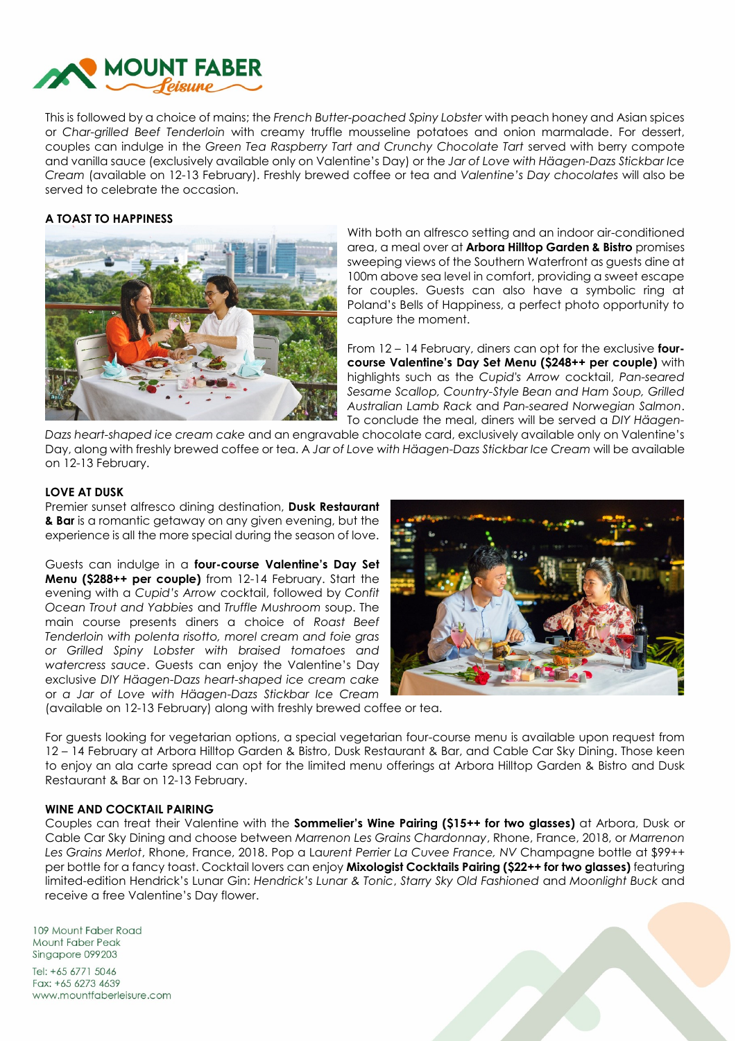

This is followed by a choice of mains; the *French Butter-poached Spiny Lobster* with peach honey and Asian spices or *Char-grilled Beef Tenderloin* with creamy truffle mousseline potatoes and onion marmalade. For dessert, couples can indulge in the *Green Tea Raspberry Tart and Crunchy Chocolate Tart* served with berry compote and vanilla sauce (exclusively available only on Valentine's Day) or the *Jar of Love with Häagen-Dazs Stickbar Ice Cream* (available on 12-13 February). Freshly brewed coffee or tea and *Valentine's Day chocolates* will also be served to celebrate the occasion.

# **A TOAST TO HAPPINESS**



With both an alfresco setting and an indoor air-conditioned area, a meal over at **Arbora Hilltop Garden & Bistro** promises sweeping views of the Southern Waterfront as guests dine at 100m above sea level in comfort, providing a sweet escape for couples. Guests can also have a symbolic ring at Poland's Bells of Happiness, a perfect photo opportunity to capture the moment.

From 12 – 14 February, diners can opt for the exclusive **fourcourse Valentine's Day Set Menu (\$248++ per couple)** with highlights such as the *Cupid's Arrow* cocktail, *Pan-seared Sesame Scallop, Country-Style Bean and Ham Soup, Grilled Australian Lamb Rack* and *Pan-seared Norwegian Salmon*. To conclude the meal, diners will be served a *DIY Häagen-*

*Dazs heart-shaped ice cream cake* and an engravable chocolate card, exclusively available only on Valentine's Day, along with freshly brewed coffee or tea. A *Jar of Love with Häagen-Dazs Stickbar Ice Cream* will be available on 12-13 February.

### **LOVE AT DUSK**

Premier sunset alfresco dining destination, **Dusk Restaurant & Bar** is a romantic getaway on any given evening, but the experience is all the more special during the season of love.

Guests can indulge in a **four-course Valentine's Day Set Menu (\$288++ per couple)** from 12-14 February. Start the evening with a *Cupid's Arrow* cocktail, followed by *Confit Ocean Trout and Yabbies* and *Truffle Mushroom* soup. The main course presents diners a choice of *Roast Beef Tenderloin with polenta risotto, morel cream and foie gras or Grilled Spiny Lobster with braised tomatoes and watercress sauce*. Guests can enjoy the Valentine's Day exclusive *DIY Häagen-Dazs heart-shaped ice cream cake* or *a Jar of Love with Häagen-Dazs Stickbar Ice Cream*



(available on 12-13 February) along with freshly brewed coffee or tea.

For guests looking for vegetarian options, a special vegetarian four-course menu is available upon request from 12 – 14 February at Arbora Hilltop Garden & Bistro, Dusk Restaurant & Bar, and Cable Car Sky Dining. Those keen to enjoy an ala carte spread can opt for the limited menu offerings at Arbora Hilltop Garden & Bistro and Dusk Restaurant & Bar on 12-13 February.

### **WINE AND COCKTAIL PAIRING**

Couples can treat their Valentine with the **Sommelier's Wine Pairing (\$15++ for two glasses)** at Arbora, Dusk or Cable Car Sky Dining and choose between *Marrenon Les Grains Chardonnay*, Rhone, France, 2018, or *Marrenon Les Grains Merlot*, Rhone, France, 2018. Pop a La*urent Perrier La Cuvee France, NV* Champagne bottle at \$99++ per bottle for a fancy toast. Cocktail lovers can enjoy **Mixologist Cocktails Pairing (\$22++ for two glasses)** featuring limited-edition Hendrick's Lunar Gin: *Hendrick's Lunar & Tonic*, *Starry Sky Old Fashioned* and *Moonlight Buck* and receive a free Valentine's Day flower.

109 Mount Faber Road Mount Faber Peak Singapore 099203

Tel: +65 6771 5046 Fax: +65 6273 4639 www.mountfaberleisure.com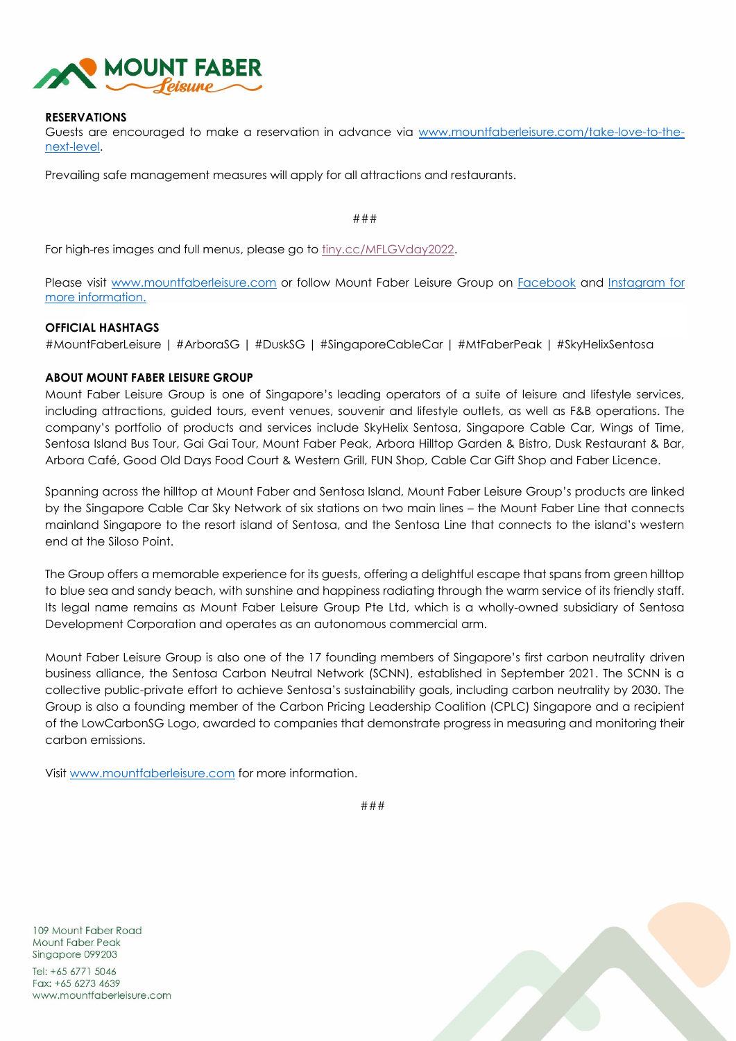

### **RESERVATIONS**

Guests are encouraged to make a reservation in advance via [www.mountfaberleisure.com/take-love-to-the](https://www.mountfaberleisure.com/take-love-to-the-next-level/)[next-level.](https://www.mountfaberleisure.com/take-love-to-the-next-level/)

Prevailing safe management measures will apply for all attractions and restaurants.

###

For high-res images and full menus, please go to  $\frac{liny(cc/MFLGVday2022)}{Imy(cc/MFLGVday2022)}$ .

Please visit [www.mountfaberleisure.com](http://www.mountfaberleisure.com/) or follow Mount Faber Leisure Group on [Facebook](https://www.facebook.com/mountfaberleisure) and [Instagram](https://www.instagram.com/mountfaberleisure/) for more information.

# **OFFICIAL HASHTAGS**

#MountFaberLeisure | #ArboraSG | #DuskSG | #SingaporeCableCar | #MtFaberPeak | #SkyHelixSentosa

# **ABOUT MOUNT FABER LEISURE GROUP**

Mount Faber Leisure Group is one of Singapore's leading operators of a suite of leisure and lifestyle services, including attractions, guided tours, event venues, souvenir and lifestyle outlets, as well as F&B operations. The company's portfolio of products and services include SkyHelix Sentosa, Singapore Cable Car, Wings of Time, Sentosa Island Bus Tour, Gai Gai Tour, Mount Faber Peak, Arbora Hilltop Garden & Bistro, Dusk Restaurant & Bar, Arbora Café, Good Old Days Food Court & Western Grill, FUN Shop, Cable Car Gift Shop and Faber Licence.

Spanning across the hilltop at Mount Faber and Sentosa Island, Mount Faber Leisure Group's products are linked by the Singapore Cable Car Sky Network of six stations on two main lines – the Mount Faber Line that connects mainland Singapore to the resort island of Sentosa, and the Sentosa Line that connects to the island's western end at the Siloso Point.

The Group offers a memorable experience for its guests, offering a delightful escape that spans from green hilltop to blue sea and sandy beach, with sunshine and happiness radiating through the warm service of its friendly staff. Its legal name remains as Mount Faber Leisure Group Pte Ltd, which is a wholly-owned subsidiary of Sentosa Development Corporation and operates as an autonomous commercial arm.

Mount Faber Leisure Group is also one of the 17 founding members of Singapore's first carbon neutrality driven business alliance, the Sentosa Carbon Neutral Network (SCNN), established in September 2021. The SCNN is a collective public-private effort to achieve Sentosa's sustainability goals, including carbon neutrality by 2030. The Group is also a founding member of the Carbon Pricing Leadership Coalition (CPLC) Singapore and a recipient of the LowCarbonSG Logo, awarded to companies that demonstrate progress in measuring and monitoring their carbon emissions.

Visit [www.mountfaberleisure.com](http://www.mountfaberleisure.com/) for more information.

###

109 Mount Faber Road Mount Faber Peak Singapore 099203

Tel:  $+6567715046$ Fax: +65 6273 4639 www.mountfaberleisure.com